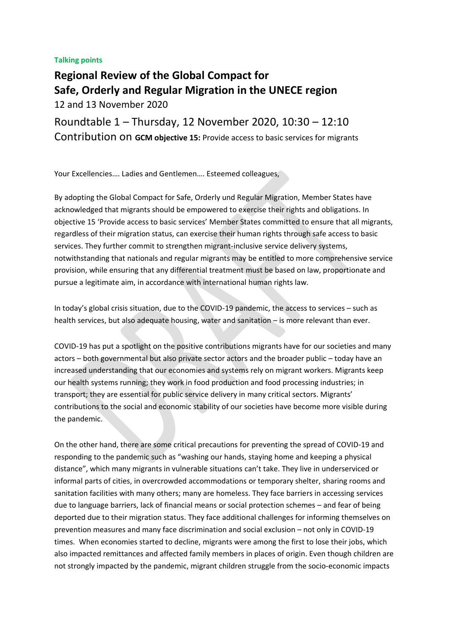## **Talking points**

**Regional Review of the Global Compact for Safe, Orderly and Regular Migration in the UNECE region**  12 and 13 November 2020

Roundtable 1 – Thursday, 12 November 2020, 10:30 – 12:10 Contribution on **GCM objective 15:** Provide access to basic services for migrants

Your Excellencies…. Ladies and Gentlemen…. Esteemed colleagues,

By adopting the Global Compact for Safe, Orderly und Regular Migration, Member States have acknowledged that migrants should be empowered to exercise their rights and obligations. In objective 15 'Provide access to basic services' Member States committed to ensure that all migrants, regardless of their migration status, can exercise their human rights through safe access to basic services. They further commit to strengthen migrant-inclusive service delivery systems, notwithstanding that nationals and regular migrants may be entitled to more comprehensive service provision, while ensuring that any differential treatment must be based on law, proportionate and pursue a legitimate aim, in accordance with international human rights law.

In today's global crisis situation, due to the COVID-19 pandemic, the access to services – such as health services, but also adequate housing, water and sanitation – is more relevant than ever.

COVID-19 has put a spotlight on the positive contributions migrants have for our societies and many actors – both governmental but also private sector actors and the broader public – today have an increased understanding that our economies and systems rely on migrant workers. Migrants keep our health systems running; they work in food production and food processing industries; in transport; they are essential for public service delivery in many critical sectors. Migrants' contributions to the social and economic stability of our societies have become more visible during the pandemic.

On the other hand, there are some critical precautions for preventing the spread of COVID-19 and responding to the pandemic such as "washing our hands, staying home and keeping a physical distance", which many migrants in vulnerable situations can't take. They live in underserviced or informal parts of cities, in overcrowded accommodations or temporary shelter, sharing rooms and sanitation facilities with many others; many are homeless. They face barriers in accessing services due to language barriers, lack of financial means or social protection schemes – and fear of being deported due to their migration status. They face additional challenges for informing themselves on prevention measures and many face discrimination and social exclusion – not only in COVID-19 times. When economies started to decline, migrants were among the first to lose their jobs, which also impacted remittances and affected family members in places of origin. Even though children are not strongly impacted by the pandemic, migrant children struggle from the socio-economic impacts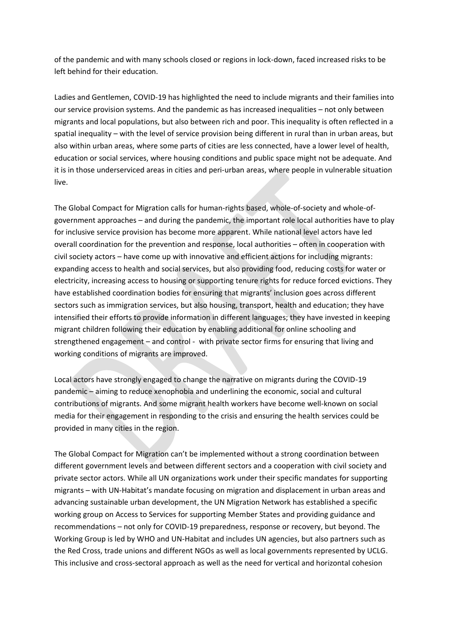of the pandemic and with many schools closed or regions in lock-down, faced increased risks to be left behind for their education.

Ladies and Gentlemen, COVID-19 has highlighted the need to include migrants and their families into our service provision systems. And the pandemic as has increased inequalities – not only between migrants and local populations, but also between rich and poor. This inequality is often reflected in a spatial inequality – with the level of service provision being different in rural than in urban areas, but also within urban areas, where some parts of cities are less connected, have a lower level of health, education or social services, where housing conditions and public space might not be adequate. And it is in those underserviced areas in cities and peri-urban areas, where people in vulnerable situation live.

The Global Compact for Migration calls for human-rights based, whole-of-society and whole-ofgovernment approaches – and during the pandemic, the important role local authorities have to play for inclusive service provision has become more apparent. While national level actors have led overall coordination for the prevention and response, local authorities – often in cooperation with civil society actors – have come up with innovative and efficient actions for including migrants: expanding access to health and social services, but also providing food, reducing costs for water or electricity, increasing access to housing or supporting tenure rights for reduce forced evictions. They have established coordination bodies for ensuring that migrants' inclusion goes across different sectors such as immigration services, but also housing, transport, health and education; they have intensified their efforts to provide information in different languages; they have invested in keeping migrant children following their education by enabling additional for online schooling and strengthened engagement – and control - with private sector firms for ensuring that living and working conditions of migrants are improved.

Local actors have strongly engaged to change the narrative on migrants during the COVID-19 pandemic – aiming to reduce xenophobia and underlining the economic, social and cultural contributions of migrants. And some migrant health workers have become well-known on social media for their engagement in responding to the crisis and ensuring the health services could be provided in many cities in the region.

The Global Compact for Migration can't be implemented without a strong coordination between different government levels and between different sectors and a cooperation with civil society and private sector actors. While all UN organizations work under their specific mandates for supporting migrants – with UN-Habitat's mandate focusing on migration and displacement in urban areas and advancing sustainable urban development, the UN Migration Network has established a specific working group on Access to Services for supporting Member States and providing guidance and recommendations – not only for COVID-19 preparedness, response or recovery, but beyond. The Working Group is led by WHO and UN-Habitat and includes UN agencies, but also partners such as the Red Cross, trade unions and different NGOs as well as local governments represented by UCLG. This inclusive and cross-sectoral approach as well as the need for vertical and horizontal cohesion